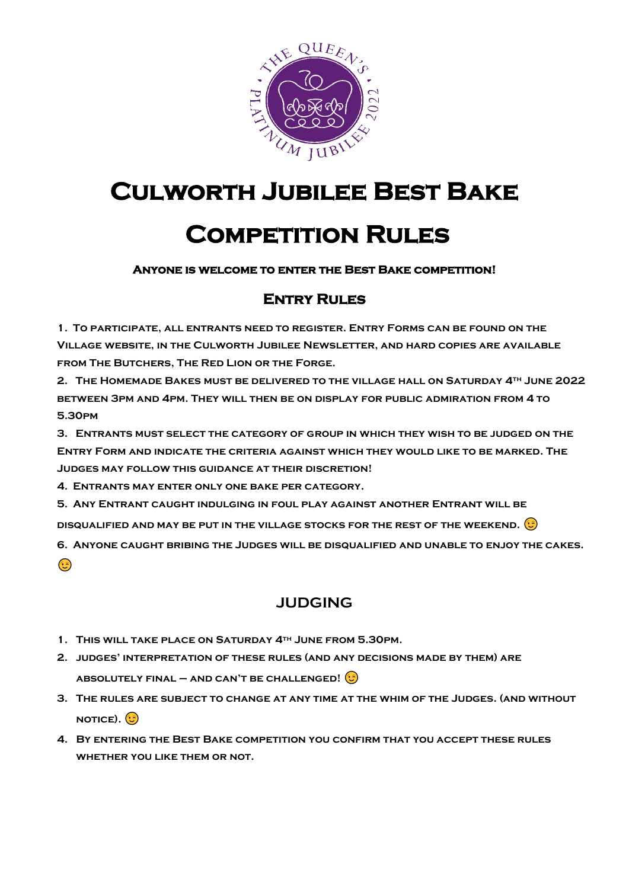

## **Culworth Jubilee Best Bake COMPETITION RULES**

## **Anyone is welcome to enter the Best Bake competition!**

## **Entry Rules**

**1. To participate, all entrants need to register. Entry Forms can be found on the Village website, in the Culworth Jubilee Newsletter, and hard copies are available from The Butchers, The Red Lion or the Forge.**

**2. The Homemade Bakes must be delivered to the village hall on Saturday 4th June 2022 between 3pm and 4pm. They will then be on display for public admiration from 4 to 5.30pm**

**3. Entrants must select the category of group in which they wish to be judged on the Entry Form and indicate the criteria against which they would like to be marked. The Judges may follow this guidance at their discretion!**

**4. Entrants may enter only one bake per category.**

**5. Any Entrant caught indulging in foul play against another Entrant will be** 

**disqualified and may be put in the village stocks for the rest of the weekend.**

**6. Anyone caught bribing the Judges will be disqualified and unable to enjoy the cakes.**

 $\odot$ 

## **JUDGING**

- **1. This will take place on Saturday 4th June from 5.30pm.**
- **2. judges' interpretation of these rules (and any decisions made by them) are absolutely final – and can't be challenged!**
- **3. The rules are subject to change at any time at the whim of the Judges. (and without NOTICE).** (
- **4. By entering the Best Bake competition you confirm that you accept these rules whether you like them or not.**